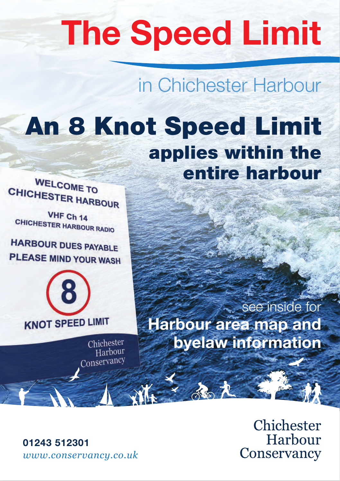# **The Speed Limit**

in Chichester Harbour

# An 8 Knot Speed Limit applies within the entire harbour

WELCOME TO CHICHESTER HARBOUR

VHF Ch 14 CHICHESTER HARBOUR RADIO

**HARBOUR DUES PAYABLE** PLEASE MIND YOUR WASH



Chichester Harbour Conservancy

see inside for **Harbour area map and byelaw information**

> Chichester Harbour Conservancy

**01243 512301**  *www.conservancy.co.uk*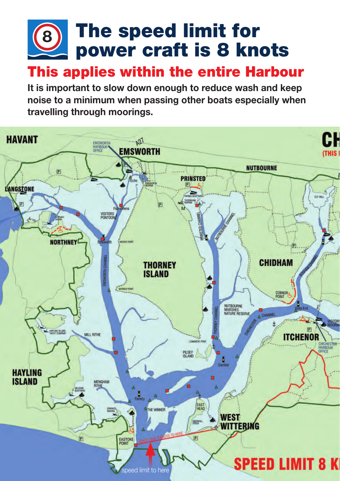### The speed limit for power craft is 8 knots **8**

## This applies within the entire Harbour

**It is important to slow down enough to reduce wash and keep noise to a minimum when passing other boats especially when travelling through moorings.**

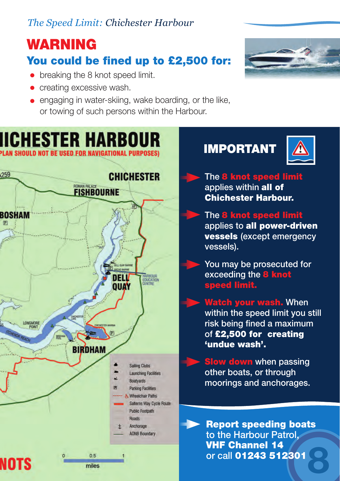#### *The Speed Limit: Chichester Harbour*

## WARNING

#### You could be fined up to £2,500 for:

- breaking the 8 knot speed limit.
- creating excessive wash.
- engaging in water-skiing, wake boarding, or the like, or towing of such persons within the Harbour.